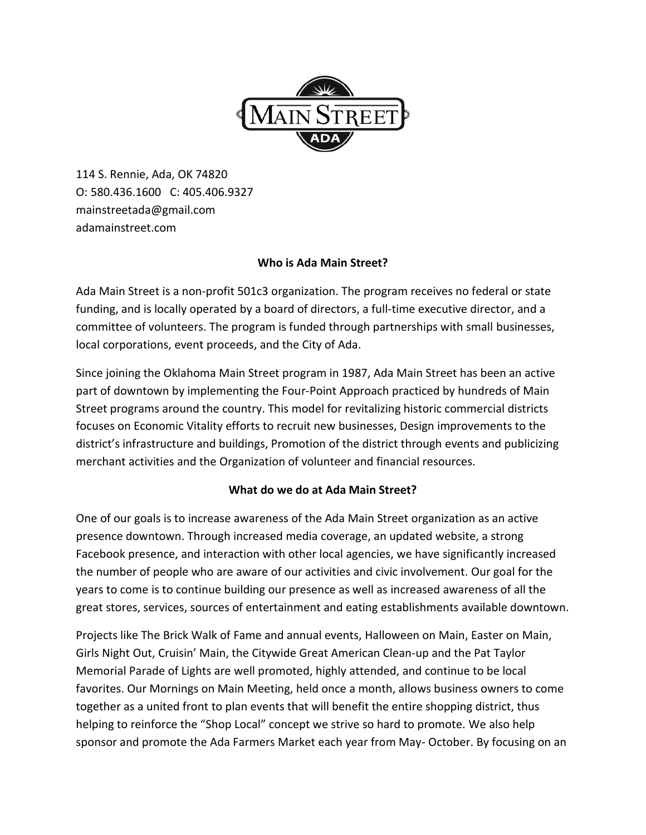

114 S. Rennie, Ada, OK 74820 O: 580.436.1600 C: 405.406.9327 mainstreetada@gmail.com adamainstreet.com

## **Who is Ada Main Street?**

Ada Main Street is a non-profit 501c3 organization. The program receives no federal or state funding, and is locally operated by a board of directors, a full-time executive director, and a committee of volunteers. The program is funded through partnerships with small businesses, local corporations, event proceeds, and the City of Ada.

Since joining the Oklahoma Main Street program in 1987, Ada Main Street has been an active part of downtown by implementing the Four-Point Approach practiced by hundreds of Main Street programs around the country. This model for revitalizing historic commercial districts focuses on Economic Vitality efforts to recruit new businesses, Design improvements to the district's infrastructure and buildings, Promotion of the district through events and publicizing merchant activities and the Organization of volunteer and financial resources.

## **What do we do at Ada Main Street?**

One of our goals is to increase awareness of the Ada Main Street organization as an active presence downtown. Through increased media coverage, an updated website, a strong Facebook presence, and interaction with other local agencies, we have significantly increased the number of people who are aware of our activities and civic involvement. Our goal for the years to come is to continue building our presence as well as increased awareness of all the great stores, services, sources of entertainment and eating establishments available downtown.

Projects like The Brick Walk of Fame and annual events, Halloween on Main, Easter on Main, Girls Night Out, Cruisin' Main, the Citywide Great American Clean-up and the Pat Taylor Memorial Parade of Lights are well promoted, highly attended, and continue to be local favorites. Our Mornings on Main Meeting, held once a month, allows business owners to come together as a united front to plan events that will benefit the entire shopping district, thus helping to reinforce the "Shop Local" concept we strive so hard to promote. We also help sponsor and promote the Ada Farmers Market each year from May- October. By focusing on an